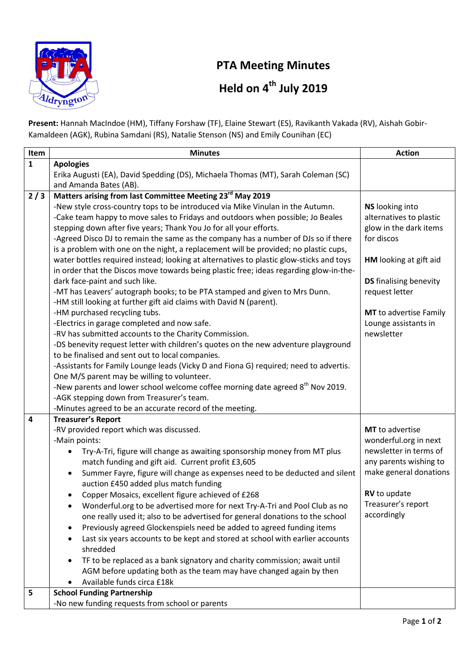

## PTA Meeting Minutes

## Held on 4<sup>th</sup> July 2019

Present: Hannah MacIndoe (HM), Tiffany Forshaw (TF), Elaine Stewart (ES), Ravikanth Vakada (RV), Aishah Gobir-Kamaldeen (AGK), Rubina Samdani (RS), Natalie Stenson (NS) and Emily Counihan (EC)

| Item                    | <b>Minutes</b>                                                                                                                            | <b>Action</b>                 |
|-------------------------|-------------------------------------------------------------------------------------------------------------------------------------------|-------------------------------|
| $\mathbf{1}$            | <b>Apologies</b>                                                                                                                          |                               |
|                         | Erika Augusti (EA), David Spedding (DS), Michaela Thomas (MT), Sarah Coleman (SC)                                                         |                               |
|                         | and Amanda Bates (AB).                                                                                                                    |                               |
| 2/3                     | Matters arising from last Committee Meeting 23 <sup>rd</sup> May 2019                                                                     |                               |
|                         | -New style cross-country tops to be introduced via Mike Vinulan in the Autumn.                                                            | <b>NS</b> looking into        |
|                         | -Cake team happy to move sales to Fridays and outdoors when possible; Jo Beales                                                           | alternatives to plastic       |
|                         | stepping down after five years; Thank You Jo for all your efforts.                                                                        | glow in the dark items        |
|                         | -Agreed Disco DJ to remain the same as the company has a number of DJs so if there                                                        | for discos                    |
|                         | is a problem with one on the night, a replacement will be provided; no plastic cups,                                                      |                               |
|                         | water bottles required instead; looking at alternatives to plastic glow-sticks and toys                                                   | HM looking at gift aid        |
|                         | in order that the Discos move towards being plastic free; ideas regarding glow-in-the-                                                    |                               |
|                         | dark face-paint and such like.                                                                                                            | <b>DS</b> finalising benevity |
|                         | -MT has Leavers' autograph books; to be PTA stamped and given to Mrs Dunn.                                                                | request letter                |
|                         | -HM still looking at further gift aid claims with David N (parent).                                                                       |                               |
|                         | -HM purchased recycling tubs.                                                                                                             | MT to advertise Family        |
|                         | -Electrics in garage completed and now safe.                                                                                              | Lounge assistants in          |
|                         | -RV has submitted accounts to the Charity Commission.                                                                                     | newsletter                    |
|                         | -DS benevity request letter with children's quotes on the new adventure playground                                                        |                               |
|                         | to be finalised and sent out to local companies.                                                                                          |                               |
|                         | -Assistants for Family Lounge leads (Vicky D and Fiona G) required; need to advertis.                                                     |                               |
|                         | One M/S parent may be willing to volunteer.<br>-New parents and lower school welcome coffee morning date agreed 8 <sup>th</sup> Nov 2019. |                               |
|                         | -AGK stepping down from Treasurer's team.                                                                                                 |                               |
|                         | -Minutes agreed to be an accurate record of the meeting.                                                                                  |                               |
| $\overline{\mathbf{4}}$ | <b>Treasurer's Report</b>                                                                                                                 |                               |
|                         | -RV provided report which was discussed.                                                                                                  | MT to advertise               |
|                         | -Main points:                                                                                                                             | wonderful.org in next         |
|                         | Try-A-Tri, figure will change as awaiting sponsorship money from MT plus<br>٠                                                             | newsletter in terms of        |
|                         | match funding and gift aid. Current profit £3,605                                                                                         | any parents wishing to        |
|                         | Summer Fayre, figure will change as expenses need to be deducted and silent<br>$\bullet$                                                  | make general donations        |
|                         | auction £450 added plus match funding                                                                                                     |                               |
|                         | Copper Mosaics, excellent figure achieved of £268                                                                                         | RV to update                  |
|                         | Wonderful.org to be advertised more for next Try-A-Tri and Pool Club as no                                                                | Treasurer's report            |
|                         | one really used it; also to be advertised for general donations to the school                                                             | accordingly                   |
|                         | Previously agreed Glockenspiels need be added to agreed funding items                                                                     |                               |
|                         | Last six years accounts to be kept and stored at school with earlier accounts                                                             |                               |
|                         | shredded                                                                                                                                  |                               |
|                         | TF to be replaced as a bank signatory and charity commission; await until                                                                 |                               |
|                         | AGM before updating both as the team may have changed again by then                                                                       |                               |
|                         | Available funds circa £18k                                                                                                                |                               |
| 5                       | <b>School Funding Partnership</b>                                                                                                         |                               |
|                         | -No new funding requests from school or parents                                                                                           |                               |